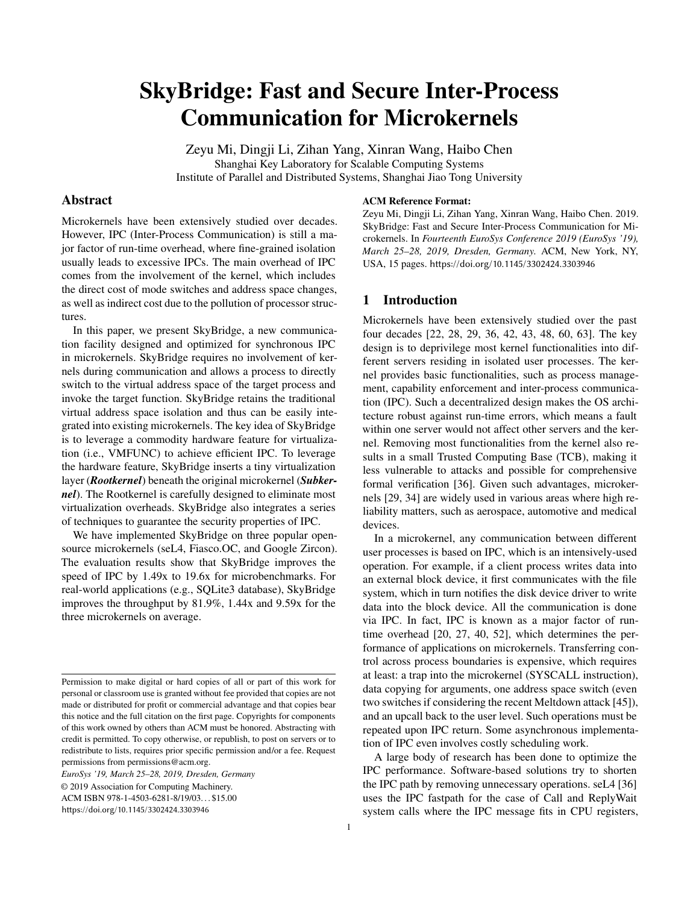# SkyBridge: Fast and Secure Inter-Process Communication for Microkernels

Zeyu Mi, Dingji Li, Zihan Yang, Xinran Wang, Haibo Chen Shanghai Key Laboratory for Scalable Computing Systems Institute of Parallel and Distributed Systems, Shanghai Jiao Tong University

# Abstract

Microkernels have been extensively studied over decades. However, IPC (Inter-Process Communication) is still a major factor of run-time overhead, where fine-grained isolation usually leads to excessive IPCs. The main overhead of IPC comes from the involvement of the kernel, which includes the direct cost of mode switches and address space changes, as well as indirect cost due to the pollution of processor structures.

In this paper, we present SkyBridge, a new communication facility designed and optimized for synchronous IPC in microkernels. SkyBridge requires no involvement of kernels during communication and allows a process to directly switch to the virtual address space of the target process and invoke the target function. SkyBridge retains the traditional virtual address space isolation and thus can be easily integrated into existing microkernels. The key idea of SkyBridge is to leverage a commodity hardware feature for virtualization (i.e., VMFUNC) to achieve efficient IPC. To leverage the hardware feature, SkyBridge inserts a tiny virtualization layer (*Rootkernel*) beneath the original microkernel (*Subkernel*). The Rootkernel is carefully designed to eliminate most virtualization overheads. SkyBridge also integrates a series of techniques to guarantee the security properties of IPC.

We have implemented SkyBridge on three popular opensource microkernels (seL4, Fiasco.OC, and Google Zircon). The evaluation results show that SkyBridge improves the speed of IPC by 1.49x to 19.6x for microbenchmarks. For real-world applications (e.g., SQLite3 database), SkyBridge improves the throughput by 81.9%, 1.44x and 9.59x for the three microkernels on average.

*EuroSys '19, March 25–28, 2019, Dresden, Germany*

© 2019 Association for Computing Machinery.

ACM ISBN 978-1-4503-6281-8/19/03. . . \$15.00

[hps://doi.org/10.1145/3302424.3303946](https://doi.org/10.1145/3302424.3303946)

#### ACM Reference Format:

Zeyu Mi, Dingji Li, Zihan Yang, Xinran Wang, Haibo Chen. 2019. SkyBridge: Fast and Secure Inter-Process Communication for Microkernels. In *Fourteenth EuroSys Conference 2019 (EuroSys '19), March 25–28, 2019, Dresden, Germany.* ACM, New York, NY, USA, [15](#page-14-0) pages. https://doi.org/10.1145/3302424.3303946

# 1 Introduction

Microkernels have been extensively studied over the past four decades [\[22,](#page-13-0) [28,](#page-13-1) [29,](#page-13-2) [36](#page-14-1), [42](#page-14-2), [43](#page-14-3), [48](#page-14-4), [60,](#page-14-5) [63\]](#page-14-6). The key design is to deprivilege most kernel functionalities into different servers residing in isolated user processes. The kernel provides basic functionalities, such as process management, capability enforcement and inter-process communication (IPC). Such a decentralized design makes the OS architecture robust against run-time errors, which means a fault within one server would not affect other servers and the kernel. Removing most functionalities from the kernel also results in a small Trusted Computing Base (TCB), making it less vulnerable to attacks and possible for comprehensive formal verification [\[36\]](#page-14-1). Given such advantages, microkernels [\[29,](#page-13-2) [34\]](#page-14-7) are widely used in various areas where high reliability matters, such as aerospace, automotive and medical devices.

In a microkernel, any communication between different user processes is based on IPC, which is an intensively-used operation. For example, if a client process writes data into an external block device, it first communicates with the file system, which in turn notifies the disk device driver to write data into the block device. All the communication is done via IPC. In fact, IPC is known as a major factor of runtime overhead [\[20](#page-13-3), [27](#page-13-4), [40,](#page-14-8) [52](#page-14-9)], which determines the performance of applications on microkernels. Transferring control across process boundaries is expensive, which requires at least: a trap into the microkernel (SYSCALL instruction), data copying for arguments, one address space switch (even two switches if considering the recent Meltdown attack [\[45](#page-14-10)]), and an upcall back to the user level. Such operations must be repeated upon IPC return. Some asynchronous implementation of IPC even involves costly scheduling work.

A large body of research has been done to optimize the IPC performance. Software-based solutions try to shorten the IPC path by removing unnecessary operations. seL4 [\[36\]](#page-14-1) uses the IPC fastpath for the case of Call and ReplyWait system calls where the IPC message fits in CPU registers,

Permission to make digital or hard copies of all or part of this work for personal or classroom use is granted without fee provided that copies are not made or distributed for profit or commercial advantage and that copies bear this notice and the full citation on the first page. Copyrights for components of this work owned by others than ACM must be honored. Abstracting with credit is permitted. To copy otherwise, or republish, to post on servers or to redistribute to lists, requires prior specific permission and/or a fee. Request permissions from permissions@acm.org.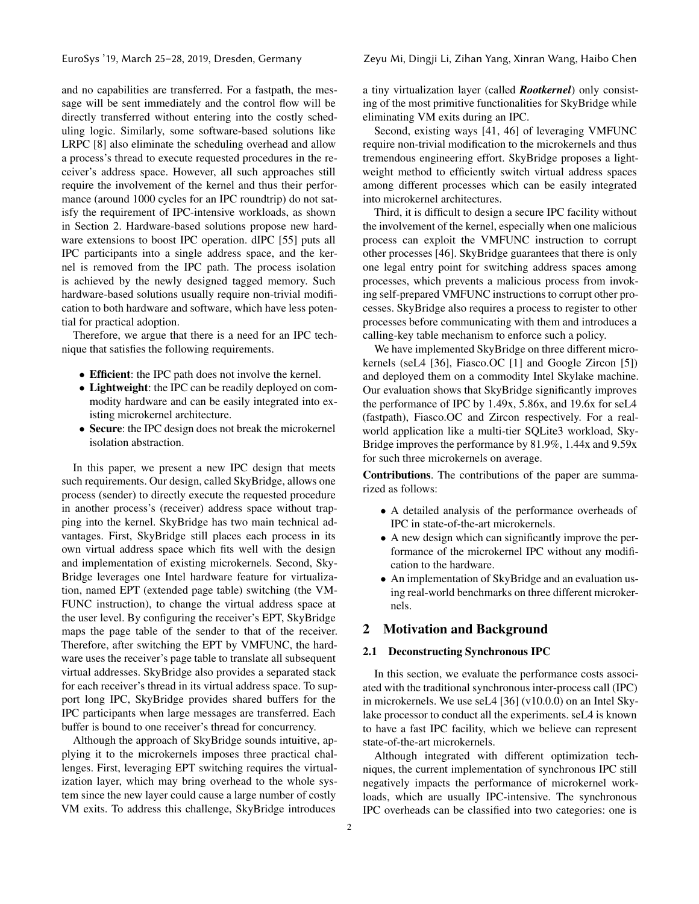and no capabilities are transferred. For a fastpath, the message will be sent immediately and the control flow will be directly transferred without entering into the costly scheduling logic. Similarly, some software-based solutions like LRPC [\[8](#page-13-5)] also eliminate the scheduling overhead and allow a process's thread to execute requested procedures in the receiver's address space. However, all such approaches still require the involvement of the kernel and thus their performance (around 1000 cycles for an IPC roundtrip) do not satisfy the requirement of IPC-intensive workloads, as shown in Section [2.](#page-1-0) Hardware-based solutions propose new hardware extensions to boost IPC operation. dIPC [\[55](#page-14-11)] puts all IPC participants into a single address space, and the kernel is removed from the IPC path. The process isolation is achieved by the newly designed tagged memory. Such hardware-based solutions usually require non-trivial modification to both hardware and software, which have less potential for practical adoption.

Therefore, we argue that there is a need for an IPC technique that satisfies the following requirements.

- Efficient: the IPC path does not involve the kernel.
- Lightweight: the IPC can be readily deployed on commodity hardware and can be easily integrated into existing microkernel architecture.
- Secure: the IPC design does not break the microkernel isolation abstraction.

In this paper, we present a new IPC design that meets such requirements. Our design, called SkyBridge, allows one process (sender) to directly execute the requested procedure in another process's (receiver) address space without trapping into the kernel. SkyBridge has two main technical advantages. First, SkyBridge still places each process in its own virtual address space which fits well with the design and implementation of existing microkernels. Second, Sky-Bridge leverages one Intel hardware feature for virtualization, named EPT (extended page table) switching (the VM-FUNC instruction), to change the virtual address space at the user level. By configuring the receiver's EPT, SkyBridge maps the page table of the sender to that of the receiver. Therefore, after switching the EPT by VMFUNC, the hardware uses the receiver's page table to translate all subsequent virtual addresses. SkyBridge also provides a separated stack for each receiver's thread in its virtual address space. To support long IPC, SkyBridge provides shared buffers for the IPC participants when large messages are transferred. Each buffer is bound to one receiver's thread for concurrency.

Although the approach of SkyBridge sounds intuitive, applying it to the microkernels imposes three practical challenges. First, leveraging EPT switching requires the virtualization layer, which may bring overhead to the whole system since the new layer could cause a large number of costly VM exits. To address this challenge, SkyBridge introduces

a tiny virtualization layer (called *Rootkernel*) only consisting of the most primitive functionalities for SkyBridge while eliminating VM exits during an IPC.

Second, existing ways [\[41](#page-14-12), [46](#page-14-13)] of leveraging VMFUNC require non-trivial modification to the microkernels and thus tremendous engineering effort. SkyBridge proposes a lightweight method to efficiently switch virtual address spaces among different processes which can be easily integrated into microkernel architectures.

Third, it is difficult to design a secure IPC facility without the involvement of the kernel, especially when one malicious process can exploit the VMFUNC instruction to corrupt other processes [\[46](#page-14-13)]. SkyBridge guarantees that there is only one legal entry point for switching address spaces among processes, which prevents a malicious process from invoking self-prepared VMFUNC instructions to corrupt other processes. SkyBridge also requires a process to register to other processes before communicating with them and introduces a calling-key table mechanism to enforce such a policy.

We have implemented SkyBridge on three different microkernels (seL4 [\[36](#page-14-1)], Fiasco.OC [\[1\]](#page-13-6) and Google Zircon [\[5](#page-13-7)]) and deployed them on a commodity Intel Skylake machine. Our evaluation shows that SkyBridge significantly improves the performance of IPC by 1.49x, 5.86x, and 19.6x for seL4 (fastpath), Fiasco.OC and Zircon respectively. For a realworld application like a multi-tier SQLite3 workload, Sky-Bridge improves the performance by 81.9%, 1.44x and 9.59x for such three microkernels on average.

Contributions. The contributions of the paper are summarized as follows:

- A detailed analysis of the performance overheads of IPC in state-of-the-art microkernels.
- A new design which can significantly improve the performance of the microkernel IPC without any modification to the hardware.
- An implementation of SkyBridge and an evaluation using real-world benchmarks on three different microkernels.

# <span id="page-1-0"></span>2 Motivation and Background

# 2.1 Deconstructing Synchronous IPC

In this section, we evaluate the performance costs associated with the traditional synchronous inter-process call (IPC) in microkernels. We use seL4 [\[36](#page-14-1)] (v10.0.0) on an Intel Skylake processor to conduct all the experiments. seL4 is known to have a fast IPC facility, which we believe can represent state-of-the-art microkernels.

Although integrated with different optimization techniques, the current implementation of synchronous IPC still negatively impacts the performance of microkernel workloads, which are usually IPC-intensive. The synchronous IPC overheads can be classified into two categories: one is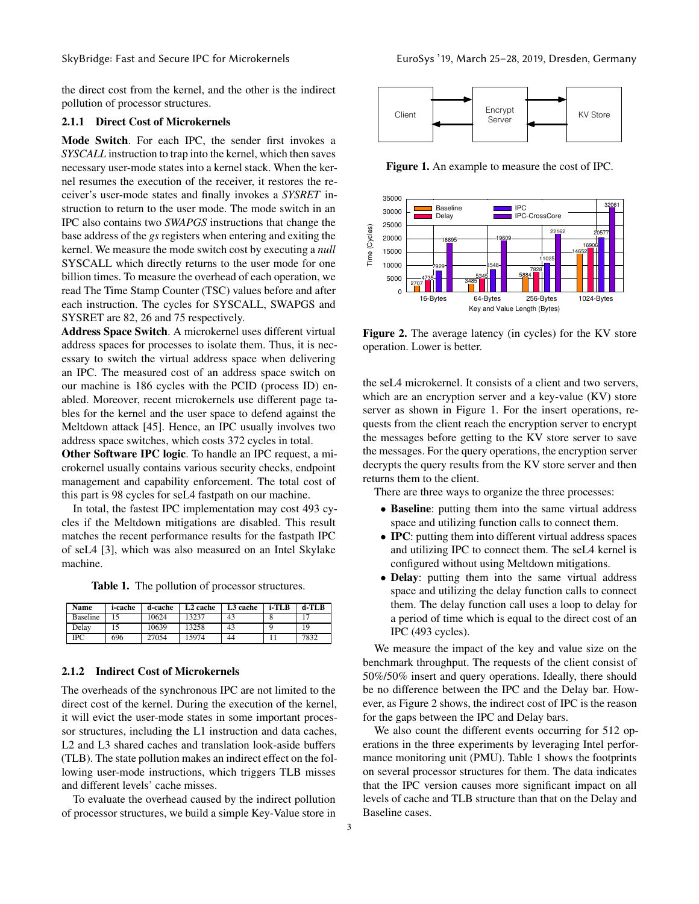the direct cost from the kernel, and the other is the indirect pollution of processor structures.

#### 2.1.1 Direct Cost of Microkernels

Mode Switch. For each IPC, the sender first invokes a *SYSCALL* instruction to trap into the kernel, which then saves necessary user-mode states into a kernel stack. When the kernel resumes the execution of the receiver, it restores the receiver's user-mode states and finally invokes a *SYSRET* instruction to return to the user mode. The mode switch in an IPC also contains two *SWAPGS* instructions that change the base address of the *gs* registers when entering and exiting the kernel. We measure the mode switch cost by executing a *null* SYSCALL which directly returns to the user mode for one billion times. To measure the overhead of each operation, we read The Time Stamp Counter (TSC) values before and after each instruction. The cycles for SYSCALL, SWAPGS and SYSRET are 82, 26 and 75 respectively.

Address Space Switch. A microkernel uses different virtual address spaces for processes to isolate them. Thus, it is necessary to switch the virtual address space when delivering an IPC. The measured cost of an address space switch on our machine is 186 cycles with the PCID (process ID) enabled. Moreover, recent microkernels use different page tables for the kernel and the user space to defend against the Meltdown attack [\[45](#page-14-10)]. Hence, an IPC usually involves two address space switches, which costs 372 cycles in total.

Other Software IPC logic. To handle an IPC request, a microkernel usually contains various security checks, endpoint management and capability enforcement. The total cost of this part is 98 cycles for seL4 fastpath on our machine.

In total, the fastest IPC implementation may cost 493 cycles if the Meltdown mitigations are disabled. This result matches the recent performance results for the fastpath IPC of seL4 [\[3\]](#page-13-8), which was also measured on an Intel Skylake machine.

<span id="page-2-2"></span>Table 1. The pollution of processor structures.

| <b>Name</b>     | i-cache | d-cache | L <sub>2</sub> cache | L3 cache | $i$ -TLB | d-TLB |
|-----------------|---------|---------|----------------------|----------|----------|-------|
| <b>Baseline</b> |         | 10624   | 13237                | 43       |          | . -   |
| Delay           |         | 10639   | 13258                | 43       |          | 19    |
| IPC             | 696     | 27054   | 15974                | 44       |          | 7832  |

#### 2.1.2 Indirect Cost of Microkernels

The overheads of the synchronous IPC are not limited to the direct cost of the kernel. During the execution of the kernel, it will evict the user-mode states in some important processor structures, including the L1 instruction and data caches, L2 and L3 shared caches and translation look-aside buffers (TLB). The state pollution makes an indirect effect on the following user-mode instructions, which triggers TLB misses and different levels' cache misses.

To evaluate the overhead caused by the indirect pollution of processor structures, we build a simple Key-Value store in

<span id="page-2-0"></span>

Figure 1. An example to measure the cost of IPC.

<span id="page-2-1"></span>

Figure 2. The average latency (in cycles) for the KV store operation. Lower is better.

the seL4 microkernel. It consists of a client and two servers, which are an encryption server and a key-value (KV) store server as shown in Figure [1.](#page-2-0) For the insert operations, requests from the client reach the encryption server to encrypt the messages before getting to the KV store server to save the messages. For the query operations, the encryption server decrypts the query results from the KV store server and then returns them to the client.

There are three ways to organize the three processes:

- Baseline: putting them into the same virtual address space and utilizing function calls to connect them.
- **IPC**: putting them into different virtual address spaces and utilizing IPC to connect them. The seL4 kernel is configured without using Meltdown mitigations.
- Delay: putting them into the same virtual address space and utilizing the delay function calls to connect them. The delay function call uses a loop to delay for a period of time which is equal to the direct cost of an IPC (493 cycles).

We measure the impact of the key and value size on the benchmark throughput. The requests of the client consist of 50%/50% insert and query operations. Ideally, there should be no difference between the IPC and the Delay bar. However, as Figure [2](#page-2-1) shows, the indirect cost of IPC is the reason for the gaps between the IPC and Delay bars.

We also count the different events occurring for 512 operations in the three experiments by leveraging Intel performance monitoring unit (PMU). Table [1](#page-2-2) shows the footprints on several processor structures for them. The data indicates that the IPC version causes more significant impact on all levels of cache and TLB structure than that on the Delay and Baseline cases.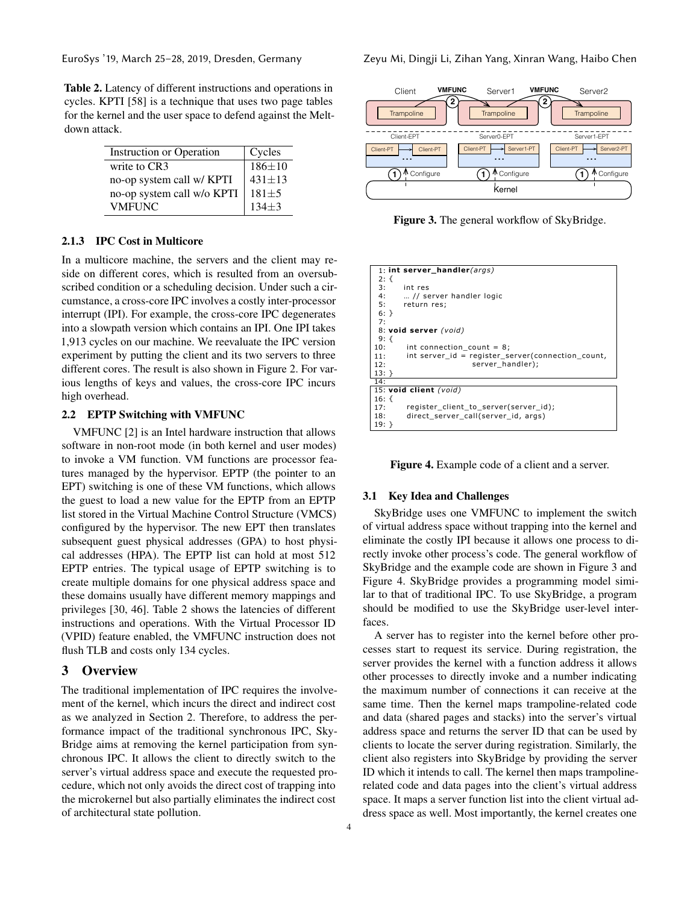<span id="page-3-0"></span>

Table 2. Latency of different instructions and operations in cycles. KPTI [\[58](#page-14-14)] is a technique that uses two page tables for the kernel and the user space to defend against the Meltdown attack.

| <b>Instruction or Operation</b> | Cycles       |
|---------------------------------|--------------|
| write to CR3                    | $186 \pm 10$ |
| no-op system call w/ KPTI       | $431 \pm 13$ |
| no-op system call w/o KPTI      | $181 + 5$    |
| <b>VMFUNC</b>                   | $134 + 3$    |

# 2.1.3 IPC Cost in Multicore

In a multicore machine, the servers and the client may reside on different cores, which is resulted from an oversubscribed condition or a scheduling decision. Under such a circumstance, a cross-core IPC involves a costly inter-processor interrupt (IPI). For example, the cross-core IPC degenerates into a slowpath version which contains an IPI. One IPI takes 1,913 cycles on our machine. We reevaluate the IPC version experiment by putting the client and its two servers to three different cores. The result is also shown in Figure [2.](#page-2-1) For various lengths of keys and values, the cross-core IPC incurs high overhead.

# 2.2 EPTP Switching with VMFUNC

VMFUNC [\[2\]](#page-13-9) is an Intel hardware instruction that allows software in non-root mode (in both kernel and user modes) to invoke a VM function. VM functions are processor features managed by the hypervisor. EPTP (the pointer to an EPT) switching is one of these VM functions, which allows the guest to load a new value for the EPTP from an EPTP list stored in the Virtual Machine Control Structure (VMCS) configured by the hypervisor. The new EPT then translates subsequent guest physical addresses (GPA) to host physical addresses (HPA). The EPTP list can hold at most 512 EPTP entries. The typical usage of EPTP switching is to create multiple domains for one physical address space and these domains usually have different memory mappings and privileges [\[30](#page-13-10), [46\]](#page-14-13). Table [2](#page-3-0) shows the latencies of different instructions and operations. With the Virtual Processor ID (VPID) feature enabled, the VMFUNC instruction does not flush TLB and costs only 134 cycles.

# 3 Overview

The traditional implementation of IPC requires the involvement of the kernel, which incurs the direct and indirect cost as we analyzed in Section [2.](#page-1-0) Therefore, to address the performance impact of the traditional synchronous IPC, Sky-Bridge aims at removing the kernel participation from synchronous IPC. It allows the client to directly switch to the server's virtual address space and execute the requested procedure, which not only avoids the direct cost of trapping into the microkernel but also partially eliminates the indirect cost of architectural state pollution.

<span id="page-3-1"></span>

<span id="page-3-2"></span>Figure 3. The general workflow of SkyBridge.

|          | 1: int server handler( $args$ )                   |
|----------|---------------------------------------------------|
| $2: \{$  |                                                   |
| 3:       | int res                                           |
|          | 4:  // server handler logic                       |
|          | 5: return res;                                    |
| $6:$ }   |                                                   |
| 7:       |                                                   |
|          | 8: void server (void)                             |
| 9: $\{$  |                                                   |
| 10:      | int connection count = $8$ ;                      |
| 11:      | int server_id = register_server(connection_count, |
| 12:      | server handler);                                  |
| $13:$ }  |                                                   |
| 14:      |                                                   |
|          | 15: void client (void)                            |
| 16: $\{$ |                                                   |
| 17:      | register_client_to_server(server_id);             |
| 18:      | direct server call(server id, args)               |
| 19: }    |                                                   |



# 3.1 Key Idea and Challenges

SkyBridge uses one VMFUNC to implement the switch of virtual address space without trapping into the kernel and eliminate the costly IPI because it allows one process to directly invoke other process's code. The general workflow of SkyBridge and the example code are shown in Figure [3](#page-3-1) and Figure [4.](#page-3-2) SkyBridge provides a programming model similar to that of traditional IPC. To use SkyBridge, a program should be modified to use the SkyBridge user-level interfaces.

A server has to register into the kernel before other processes start to request its service. During registration, the server provides the kernel with a function address it allows other processes to directly invoke and a number indicating the maximum number of connections it can receive at the same time. Then the kernel maps trampoline-related code and data (shared pages and stacks) into the server's virtual address space and returns the server ID that can be used by clients to locate the server during registration. Similarly, the client also registers into SkyBridge by providing the server ID which it intends to call. The kernel then maps trampolinerelated code and data pages into the client's virtual address space. It maps a server function list into the client virtual address space as well. Most importantly, the kernel creates one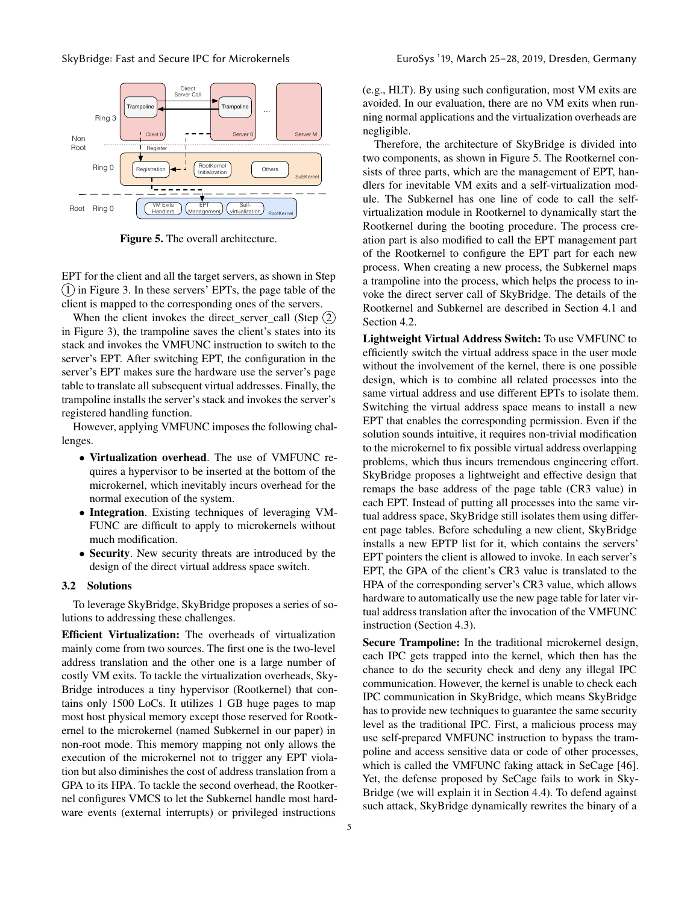<span id="page-4-0"></span>

Figure 5. The overall architecture.

EPT for the client and all the target servers, as shown in Step  $(1)$  in Figure [3.](#page-3-1) In these servers' EPTs, the page table of the client is mapped to the corresponding ones of the servers.

When the client invokes the direct\_server\_call (Step  $(2)$ ) in Figure [3\)](#page-3-1), the trampoline saves the client's states into its stack and invokes the VMFUNC instruction to switch to the server's EPT. After switching EPT, the configuration in the server's EPT makes sure the hardware use the server's page table to translate all subsequent virtual addresses. Finally, the trampoline installs the server's stack and invokes the server's registered handling function.

However, applying VMFUNC imposes the following challenges.

- Virtualization overhead. The use of VMFUNC requires a hypervisor to be inserted at the bottom of the microkernel, which inevitably incurs overhead for the normal execution of the system.
- Integration. Existing techniques of leveraging VM-FUNC are difficult to apply to microkernels without much modification.
- Security. New security threats are introduced by the design of the direct virtual address space switch.

#### 3.2 Solutions

To leverage SkyBridge, SkyBridge proposes a series of solutions to addressing these challenges.

Efficient Virtualization: The overheads of virtualization mainly come from two sources. The first one is the two-level address translation and the other one is a large number of costly VM exits. To tackle the virtualization overheads, Sky-Bridge introduces a tiny hypervisor (Rootkernel) that contains only 1500 LoCs. It utilizes 1 GB huge pages to map most host physical memory except those reserved for Rootkernel to the microkernel (named Subkernel in our paper) in non-root mode. This memory mapping not only allows the execution of the microkernel not to trigger any EPT violation but also diminishes the cost of address translation from a GPA to its HPA. To tackle the second overhead, the Rootkernel configures VMCS to let the Subkernel handle most hardware events (external interrupts) or privileged instructions

(e.g., HLT). By using such configuration, most VM exits are avoided. In our evaluation, there are no VM exits when running normal applications and the virtualization overheads are negligible.

Therefore, the architecture of SkyBridge is divided into two components, as shown in Figure [5.](#page-4-0) The Rootkernel consists of three parts, which are the management of EPT, handlers for inevitable VM exits and a self-virtualization module. The Subkernel has one line of code to call the selfvirtualization module in Rootkernel to dynamically start the Rootkernel during the booting procedure. The process creation part is also modified to call the EPT management part of the Rootkernel to configure the EPT part for each new process. When creating a new process, the Subkernel maps a trampoline into the process, which helps the process to invoke the direct server call of SkyBridge. The details of the Rootkernel and Subkernel are described in Section [4.1](#page-5-0) and Section [4.2.](#page-5-1)

Lightweight Virtual Address Switch: To use VMFUNC to efficiently switch the virtual address space in the user mode without the involvement of the kernel, there is one possible design, which is to combine all related processes into the same virtual address and use different EPTs to isolate them. Switching the virtual address space means to install a new EPT that enables the corresponding permission. Even if the solution sounds intuitive, it requires non-trivial modification to the microkernel to fix possible virtual address overlapping problems, which thus incurs tremendous engineering effort. SkyBridge proposes a lightweight and effective design that remaps the base address of the page table (CR3 value) in each EPT. Instead of putting all processes into the same virtual address space, SkyBridge still isolates them using different page tables. Before scheduling a new client, SkyBridge installs a new EPTP list for it, which contains the servers' EPT pointers the client is allowed to invoke. In each server's EPT, the GPA of the client's CR3 value is translated to the HPA of the corresponding server's CR3 value, which allows hardware to automatically use the new page table for later virtual address translation after the invocation of the VMFUNC instruction (Section [4.3\)](#page-6-0).

Secure Trampoline: In the traditional microkernel design, each IPC gets trapped into the kernel, which then has the chance to do the security check and deny any illegal IPC communication. However, the kernel is unable to check each IPC communication in SkyBridge, which means SkyBridge has to provide new techniques to guarantee the same security level as the traditional IPC. First, a malicious process may use self-prepared VMFUNC instruction to bypass the trampoline and access sensitive data or code of other processes, which is called the VMFUNC faking attack in SeCage [\[46\]](#page-14-13). Yet, the defense proposed by SeCage fails to work in Sky-Bridge (we will explain it in Section [4.4\)](#page-6-1). To defend against such attack, SkyBridge dynamically rewrites the binary of a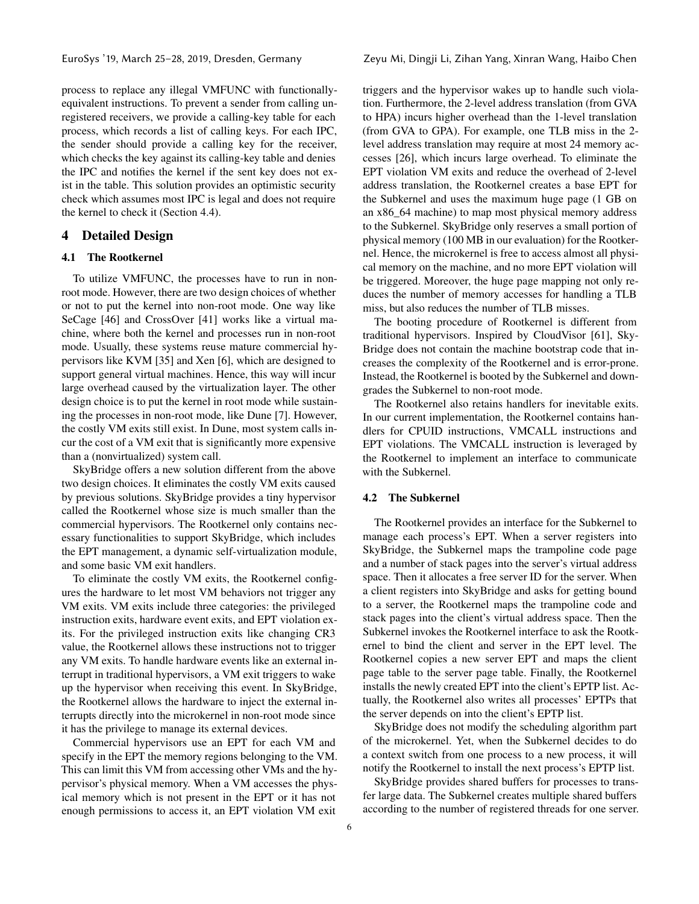process to replace any illegal VMFUNC with functionallyequivalent instructions. To prevent a sender from calling unregistered receivers, we provide a calling-key table for each process, which records a list of calling keys. For each IPC, the sender should provide a calling key for the receiver, which checks the key against its calling-key table and denies the IPC and notifies the kernel if the sent key does not exist in the table. This solution provides an optimistic security check which assumes most IPC is legal and does not require the kernel to check it (Section [4.4\)](#page-6-1).

# <span id="page-5-0"></span>4 Detailed Design

# 4.1 The Rootkernel

To utilize VMFUNC, the processes have to run in nonroot mode. However, there are two design choices of whether or not to put the kernel into non-root mode. One way like SeCage [\[46\]](#page-14-13) and CrossOver [\[41](#page-14-12)] works like a virtual machine, where both the kernel and processes run in non-root mode. Usually, these systems reuse mature commercial hypervisors like KVM [\[35](#page-14-15)] and Xen [\[6\]](#page-13-11), which are designed to support general virtual machines. Hence, this way will incur large overhead caused by the virtualization layer. The other design choice is to put the kernel in root mode while sustaining the processes in non-root mode, like Dune [\[7\]](#page-13-12). However, the costly VM exits still exist. In Dune, most system calls incur the cost of a VM exit that is significantly more expensive than a (nonvirtualized) system call.

SkyBridge offers a new solution different from the above two design choices. It eliminates the costly VM exits caused by previous solutions. SkyBridge provides a tiny hypervisor called the Rootkernel whose size is much smaller than the commercial hypervisors. The Rootkernel only contains necessary functionalities to support SkyBridge, which includes the EPT management, a dynamic self-virtualization module, and some basic VM exit handlers.

To eliminate the costly VM exits, the Rootkernel configures the hardware to let most VM behaviors not trigger any VM exits. VM exits include three categories: the privileged instruction exits, hardware event exits, and EPT violation exits. For the privileged instruction exits like changing CR3 value, the Rootkernel allows these instructions not to trigger any VM exits. To handle hardware events like an external interrupt in traditional hypervisors, a VM exit triggers to wake up the hypervisor when receiving this event. In SkyBridge, the Rootkernel allows the hardware to inject the external interrupts directly into the microkernel in non-root mode since it has the privilege to manage its external devices.

Commercial hypervisors use an EPT for each VM and specify in the EPT the memory regions belonging to the VM. This can limit this VM from accessing other VMs and the hypervisor's physical memory. When a VM accesses the physical memory which is not present in the EPT or it has not enough permissions to access it, an EPT violation VM exit

triggers and the hypervisor wakes up to handle such violation. Furthermore, the 2-level address translation (from GVA to HPA) incurs higher overhead than the 1-level translation (from GVA to GPA). For example, one TLB miss in the 2 level address translation may require at most 24 memory accesses [\[26\]](#page-13-13), which incurs large overhead. To eliminate the EPT violation VM exits and reduce the overhead of 2-level address translation, the Rootkernel creates a base EPT for the Subkernel and uses the maximum huge page (1 GB on an x86\_64 machine) to map most physical memory address to the Subkernel. SkyBridge only reserves a small portion of physical memory (100 MB in our evaluation) for the Rootkernel. Hence, the microkernel is free to access almost all physical memory on the machine, and no more EPT violation will be triggered. Moreover, the huge page mapping not only reduces the number of memory accesses for handling a TLB miss, but also reduces the number of TLB misses.

The booting procedure of Rootkernel is different from traditional hypervisors. Inspired by CloudVisor [\[61\]](#page-14-16), Sky-Bridge does not contain the machine bootstrap code that increases the complexity of the Rootkernel and is error-prone. Instead, the Rootkernel is booted by the Subkernel and downgrades the Subkernel to non-root mode.

The Rootkernel also retains handlers for inevitable exits. In our current implementation, the Rootkernel contains handlers for CPUID instructions, VMCALL instructions and EPT violations. The VMCALL instruction is leveraged by the Rootkernel to implement an interface to communicate with the Subkernel.

# <span id="page-5-1"></span>4.2 The Subkernel

The Rootkernel provides an interface for the Subkernel to manage each process's EPT. When a server registers into SkyBridge, the Subkernel maps the trampoline code page and a number of stack pages into the server's virtual address space. Then it allocates a free server ID for the server. When a client registers into SkyBridge and asks for getting bound to a server, the Rootkernel maps the trampoline code and stack pages into the client's virtual address space. Then the Subkernel invokes the Rootkernel interface to ask the Rootkernel to bind the client and server in the EPT level. The Rootkernel copies a new server EPT and maps the client page table to the server page table. Finally, the Rootkernel installs the newly created EPT into the client's EPTP list. Actually, the Rootkernel also writes all processes' EPTPs that the server depends on into the client's EPTP list.

SkyBridge does not modify the scheduling algorithm part of the microkernel. Yet, when the Subkernel decides to do a context switch from one process to a new process, it will notify the Rootkernel to install the next process's EPTP list.

SkyBridge provides shared buffers for processes to transfer large data. The Subkernel creates multiple shared buffers according to the number of registered threads for one server.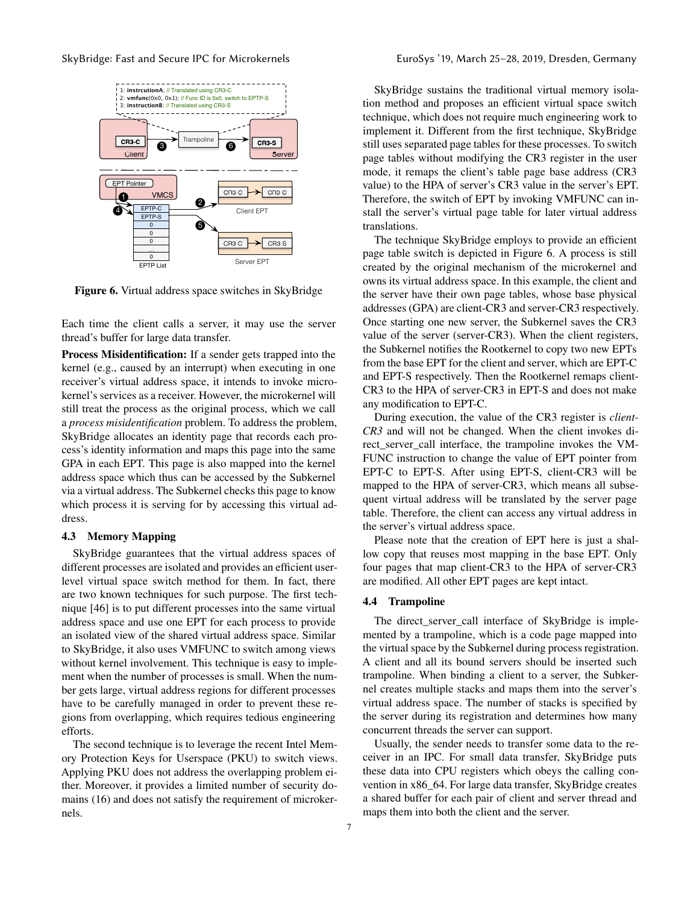<span id="page-6-2"></span>

Figure 6. Virtual address space switches in SkyBridge

Each time the client calls a server, it may use the server thread's buffer for large data transfer.

Process Misidentification: If a sender gets trapped into the kernel (e.g., caused by an interrupt) when executing in one receiver's virtual address space, it intends to invoke microkernel's services as a receiver. However, the microkernel will still treat the process as the original process, which we call a *process misidentification* problem. To address the problem, SkyBridge allocates an identity page that records each process's identity information and maps this page into the same GPA in each EPT. This page is also mapped into the kernel address space which thus can be accessed by the Subkernel via a virtual address. The Subkernel checks this page to know which process it is serving for by accessing this virtual address.

#### <span id="page-6-0"></span>4.3 Memory Mapping

SkyBridge guarantees that the virtual address spaces of different processes are isolated and provides an efficient userlevel virtual space switch method for them. In fact, there are two known techniques for such purpose. The first technique [\[46](#page-14-13)] is to put different processes into the same virtual address space and use one EPT for each process to provide an isolated view of the shared virtual address space. Similar to SkyBridge, it also uses VMFUNC to switch among views without kernel involvement. This technique is easy to implement when the number of processes is small. When the number gets large, virtual address regions for different processes have to be carefully managed in order to prevent these regions from overlapping, which requires tedious engineering efforts.

The second technique is to leverage the recent Intel Memory Protection Keys for Userspace (PKU) to switch views. Applying PKU does not address the overlapping problem either. Moreover, it provides a limited number of security domains (16) and does not satisfy the requirement of microkernels.

SkyBridge sustains the traditional virtual memory isolation method and proposes an efficient virtual space switch technique, which does not require much engineering work to implement it. Different from the first technique, SkyBridge still uses separated page tables for these processes. To switch page tables without modifying the CR3 register in the user mode, it remaps the client's table page base address (CR3 value) to the HPA of server's CR3 value in the server's EPT. Therefore, the switch of EPT by invoking VMFUNC can install the server's virtual page table for later virtual address translations.

The technique SkyBridge employs to provide an efficient page table switch is depicted in Figure [6.](#page-6-2) A process is still created by the original mechanism of the microkernel and owns its virtual address space. In this example, the client and the server have their own page tables, whose base physical addresses (GPA) are client-CR3 and server-CR3 respectively. Once starting one new server, the Subkernel saves the CR3 value of the server (server-CR3). When the client registers, the Subkernel notifies the Rootkernel to copy two new EPTs from the base EPT for the client and server, which are EPT-C and EPT-S respectively. Then the Rootkernel remaps client-CR3 to the HPA of server-CR3 in EPT-S and does not make any modification to EPT-C.

During execution, the value of the CR3 register is *client-CR3* and will not be changed. When the client invokes direct\_server\_call interface, the trampoline invokes the VM-FUNC instruction to change the value of EPT pointer from EPT-C to EPT-S. After using EPT-S, client-CR3 will be mapped to the HPA of server-CR3, which means all subsequent virtual address will be translated by the server page table. Therefore, the client can access any virtual address in the server's virtual address space.

Please note that the creation of EPT here is just a shallow copy that reuses most mapping in the base EPT. Only four pages that map client-CR3 to the HPA of server-CR3 are modified. All other EPT pages are kept intact.

#### <span id="page-6-1"></span>4.4 Trampoline

The direct\_server\_call interface of SkyBridge is implemented by a trampoline, which is a code page mapped into the virtual space by the Subkernel during process registration. A client and all its bound servers should be inserted such trampoline. When binding a client to a server, the Subkernel creates multiple stacks and maps them into the server's virtual address space. The number of stacks is specified by the server during its registration and determines how many concurrent threads the server can support.

Usually, the sender needs to transfer some data to the receiver in an IPC. For small data transfer, SkyBridge puts these data into CPU registers which obeys the calling convention in x86\_64. For large data transfer, SkyBridge creates a shared buffer for each pair of client and server thread and maps them into both the client and the server.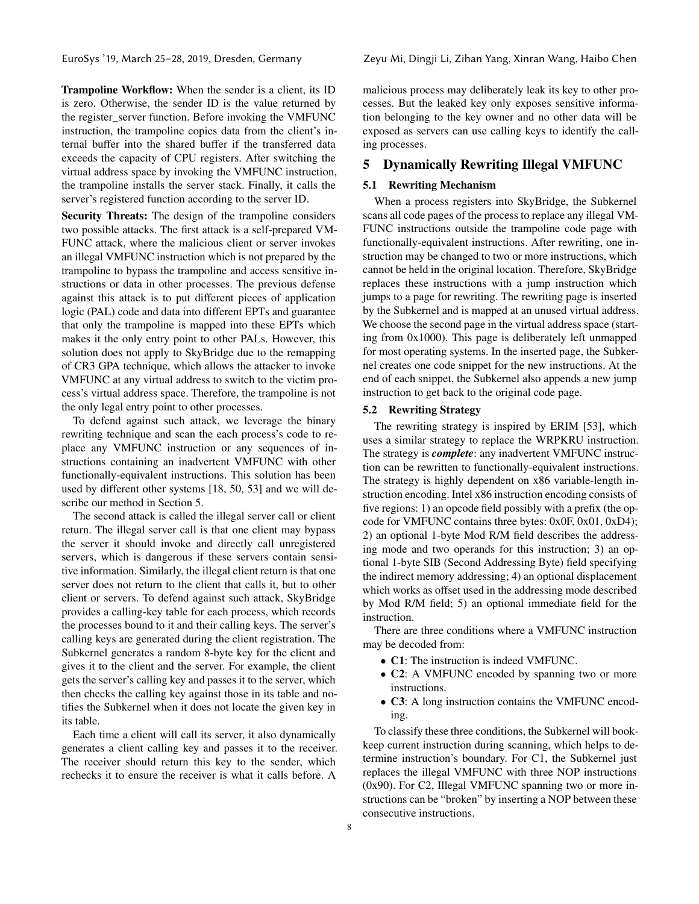Trampoline Workflow: When the sender is a client, its ID is zero. Otherwise, the sender ID is the value returned by the register server function. Before invoking the VMFUNC instruction, the trampoline copies data from the client's internal buffer into the shared buffer if the transferred data exceeds the capacity of CPU registers. After switching the virtual address space by invoking the VMFUNC instruction, the trampoline installs the server stack. Finally, it calls the server's registered function according to the server ID.

Security Threats: The design of the trampoline considers two possible attacks. The first attack is a self-prepared VM-FUNC attack, where the malicious client or server invokes an illegal VMFUNC instruction which is not prepared by the trampoline to bypass the trampoline and access sensitive instructions or data in other processes. The previous defense against this attack is to put different pieces of application logic (PAL) code and data into different EPTs and guarantee that only the trampoline is mapped into these EPTs which makes it the only entry point to other PALs. However, this solution does not apply to SkyBridge due to the remapping of CR3 GPA technique, which allows the attacker to invoke VMFUNC at any virtual address to switch to the victim process's virtual address space. Therefore, the trampoline is not the only legal entry point to other processes.

To defend against such attack, we leverage the binary rewriting technique and scan the each process's code to replace any VMFUNC instruction or any sequences of instructions containing an inadvertent VMFUNC with other functionally-equivalent instructions. This solution has been used by different other systems [\[18,](#page-13-14) [50](#page-14-17), [53\]](#page-14-18) and we will describe our method in Section [5.](#page-7-0)

The second attack is called the illegal server call or client return. The illegal server call is that one client may bypass the server it should invoke and directly call unregistered servers, which is dangerous if these servers contain sensitive information. Similarly, the illegal client return is that one server does not return to the client that calls it, but to other client or servers. To defend against such attack, SkyBridge provides a calling-key table for each process, which records the processes bound to it and their calling keys. The server's calling keys are generated during the client registration. The Subkernel generates a random 8-byte key for the client and gives it to the client and the server. For example, the client gets the server's calling key and passes it to the server, which then checks the calling key against those in its table and notifies the Subkernel when it does not locate the given key in its table.

Each time a client will call its server, it also dynamically generates a client calling key and passes it to the receiver. The receiver should return this key to the sender, which rechecks it to ensure the receiver is what it calls before. A

malicious process may deliberately leak its key to other processes. But the leaked key only exposes sensitive information belonging to the key owner and no other data will be exposed as servers can use calling keys to identify the calling processes.

# <span id="page-7-0"></span>5 Dynamically Rewriting Illegal VMFUNC

# 5.1 Rewriting Mechanism

When a process registers into SkyBridge, the Subkernel scans all code pages of the process to replace any illegal VM-FUNC instructions outside the trampoline code page with functionally-equivalent instructions. After rewriting, one instruction may be changed to two or more instructions, which cannot be held in the original location. Therefore, SkyBridge replaces these instructions with a jump instruction which jumps to a page for rewriting. The rewriting page is inserted by the Subkernel and is mapped at an unused virtual address. We choose the second page in the virtual address space (starting from 0x1000). This page is deliberately left unmapped for most operating systems. In the inserted page, the Subkernel creates one code snippet for the new instructions. At the end of each snippet, the Subkernel also appends a new jump instruction to get back to the original code page.

#### 5.2 Rewriting Strategy

The rewriting strategy is inspired by ERIM [\[53](#page-14-18)], which uses a similar strategy to replace the WRPKRU instruction. The strategy is *complete*: any inadvertent VMFUNC instruction can be rewritten to functionally-equivalent instructions. The strategy is highly dependent on x86 variable-length instruction encoding. Intel x86 instruction encoding consists of five regions: 1) an opcode field possibly with a prefix (the opcode for VMFUNC contains three bytes: 0x0F, 0x01, 0xD4); 2) an optional 1-byte Mod R/M field describes the addressing mode and two operands for this instruction; 3) an optional 1-byte SIB (Second Addressing Byte) field specifying the indirect memory addressing; 4) an optional displacement which works as offset used in the addressing mode described by Mod R/M field; 5) an optional immediate field for the instruction.

There are three conditions where a VMFUNC instruction may be decoded from:

- C1: The instruction is indeed VMFUNC.
- C2: A VMFUNC encoded by spanning two or more instructions.
- C3: A long instruction contains the VMFUNC encoding.

To classify these three conditions, the Subkernel will bookkeep current instruction during scanning, which helps to determine instruction's boundary. For C1, the Subkernel just replaces the illegal VMFUNC with three NOP instructions (0x90). For C2, Illegal VMFUNC spanning two or more instructions can be "broken" by inserting a NOP between these consecutive instructions.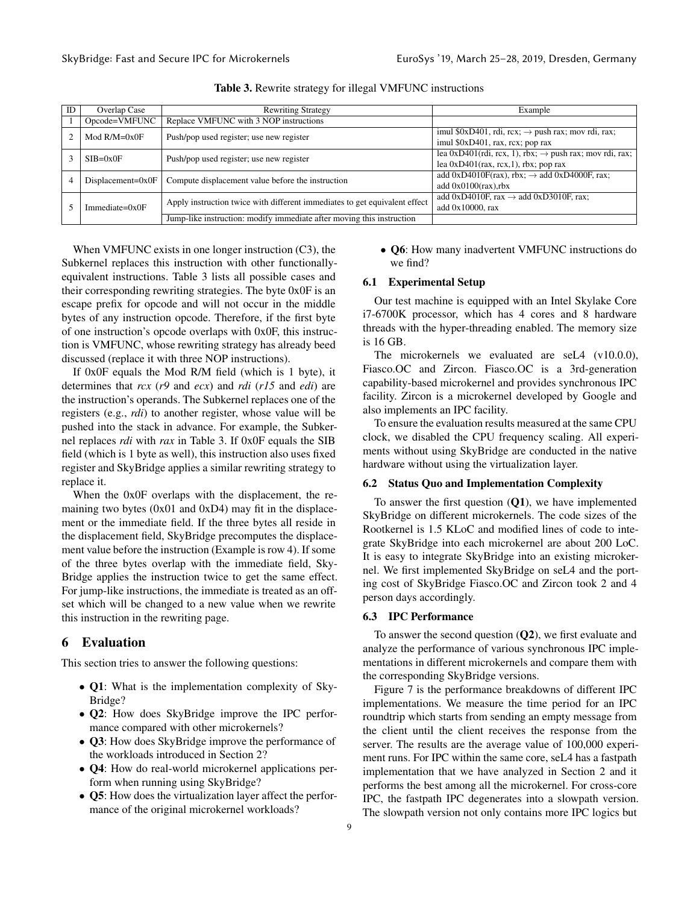<span id="page-8-0"></span>

| ID                    | Overlap Case                                      | <b>Rewriting Strategy</b>                                                  | Example                                                             |
|-----------------------|---------------------------------------------------|----------------------------------------------------------------------------|---------------------------------------------------------------------|
|                       | Opcode=VMFUNC                                     | Replace VMFUNC with 3 NOP instructions                                     |                                                                     |
|                       | $Mod R/M = 0x0F$                                  | Push/pop used register; use new register                                   | imul \$0xD401, rdi, rcx; $\rightarrow$ push rax; mov rdi, rax;      |
|                       |                                                   |                                                                            | imul $$0xD401$ , rax, rcx; pop rax                                  |
|                       | $SIB = 0x0F$                                      | Push/pop used register; use new register                                   | lea 0xD401(rdi, rcx, 1), rbx; $\rightarrow$ push rax; mov rdi, rax; |
|                       |                                                   | lea $0xD401$ (rax, rcx, 1), rbx; pop rax                                   |                                                                     |
| $Displacement = 0x0F$ | Compute displacement value before the instruction | add 0xD4010F(rax), rbx; $\rightarrow$ add 0xD4000F, rax;                   |                                                                     |
|                       |                                                   | add $0x0100$ $(rax)$ , rbx                                                 |                                                                     |
|                       | $Immediate=0x0F$                                  | Apply instruction twice with different immediates to get equivalent effect | add 0xD4010F, rax $\rightarrow$ add 0xD3010F, rax;                  |
|                       |                                                   |                                                                            | add $0x10000$ , rax                                                 |
|                       |                                                   | Jump-like instruction: modify immediate after moving this instruction      |                                                                     |

Table 3. Rewrite strategy for illegal VMFUNC instructions

When VMFUNC exists in one longer instruction (C3), the Subkernel replaces this instruction with other functionallyequivalent instructions. Table [3](#page-8-0) lists all possible cases and their corresponding rewriting strategies. The byte 0x0F is an escape prefix for opcode and will not occur in the middle bytes of any instruction opcode. Therefore, if the first byte of one instruction's opcode overlaps with 0x0F, this instruction is VMFUNC, whose rewriting strategy has already beed discussed (replace it with three NOP instructions).

If 0x0F equals the Mod R/M field (which is 1 byte), it determines that *rcx* (*r9* and *ecx*) and *rdi* (*r15* and *edi*) are the instruction's operands. The Subkernel replaces one of the registers (e.g., *rdi*) to another register, whose value will be pushed into the stack in advance. For example, the Subkernel replaces *rdi* with *rax* in Table [3.](#page-8-0) If 0x0F equals the SIB field (which is 1 byte as well), this instruction also uses fixed register and SkyBridge applies a similar rewriting strategy to replace it.

When the 0x0F overlaps with the displacement, the remaining two bytes (0x01 and 0xD4) may fit in the displacement or the immediate field. If the three bytes all reside in the displacement field, SkyBridge precomputes the displacement value before the instruction (Example is row 4). If some of the three bytes overlap with the immediate field, Sky-Bridge applies the instruction twice to get the same effect. For jump-like instructions, the immediate is treated as an offset which will be changed to a new value when we rewrite this instruction in the rewriting page.

# 6 Evaluation

This section tries to answer the following questions:

- Q1: What is the implementation complexity of Sky-Bridge?
- **Q2**: How does SkyBridge improve the IPC performance compared with other microkernels?
- Q3: How does SkyBridge improve the performance of the workloads introduced in Section [2?](#page-1-0)
- Q4: How do real-world microkernel applications perform when running using SkyBridge?
- Q5: How does the virtualization layer affect the performance of the original microkernel workloads?

• Q6: How many inadvertent VMFUNC instructions do we find?

# 6.1 Experimental Setup

Our test machine is equipped with an Intel Skylake Core i7-6700K processor, which has 4 cores and 8 hardware threads with the hyper-threading enabled. The memory size is 16 GB.

The microkernels we evaluated are seL4 (v10.0.0), Fiasco.OC and Zircon. Fiasco.OC is a 3rd-generation capability-based microkernel and provides synchronous IPC facility. Zircon is a microkernel developed by Google and also implements an IPC facility.

To ensure the evaluation results measured at the same CPU clock, we disabled the CPU frequency scaling. All experiments without using SkyBridge are conducted in the native hardware without using the virtualization layer.

# 6.2 Status Quo and Implementation Complexity

To answer the first question  $(Q1)$ , we have implemented SkyBridge on different microkernels. The code sizes of the Rootkernel is 1.5 KLoC and modified lines of code to integrate SkyBridge into each microkernel are about 200 LoC. It is easy to integrate SkyBridge into an existing microkernel. We first implemented SkyBridge on seL4 and the porting cost of SkyBridge Fiasco.OC and Zircon took 2 and 4 person days accordingly.

#### 6.3 IPC Performance

To answer the second question  $(Q2)$ , we first evaluate and analyze the performance of various synchronous IPC implementations in different microkernels and compare them with the corresponding SkyBridge versions.

Figure [7](#page-9-0) is the performance breakdowns of different IPC implementations. We measure the time period for an IPC roundtrip which starts from sending an empty message from the client until the client receives the response from the server. The results are the average value of 100,000 experiment runs. For IPC within the same core, seL4 has a fastpath implementation that we have analyzed in Section [2](#page-1-0) and it performs the best among all the microkernel. For cross-core IPC, the fastpath IPC degenerates into a slowpath version. The slowpath version not only contains more IPC logics but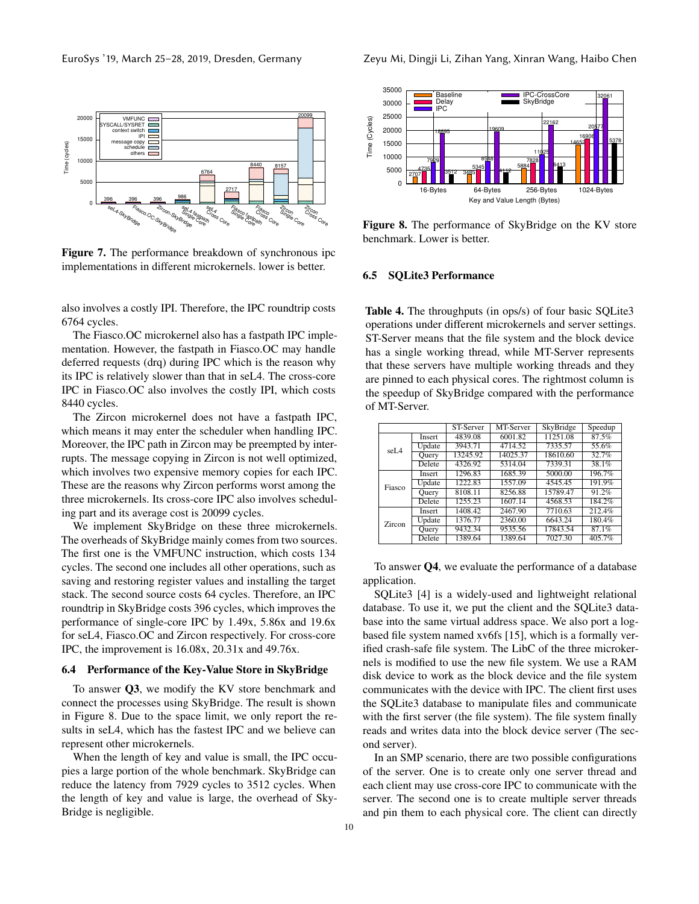<span id="page-9-0"></span>

Figure 7. The performance breakdown of synchronous ipc implementations in different microkernels. lower is better.

also involves a costly IPI. Therefore, the IPC roundtrip costs 6764 cycles.

The Fiasco.OC microkernel also has a fastpath IPC implementation. However, the fastpath in Fiasco.OC may handle deferred requests (drq) during IPC which is the reason why its IPC is relatively slower than that in seL4. The cross-core IPC in Fiasco.OC also involves the costly IPI, which costs 8440 cycles.

The Zircon microkernel does not have a fastpath IPC, which means it may enter the scheduler when handling IPC. Moreover, the IPC path in Zircon may be preempted by interrupts. The message copying in Zircon is not well optimized, which involves two expensive memory copies for each IPC. These are the reasons why Zircon performs worst among the three microkernels. Its cross-core IPC also involves scheduling part and its average cost is 20099 cycles.

We implement SkyBridge on these three microkernels. The overheads of SkyBridge mainly comes from two sources. The first one is the VMFUNC instruction, which costs 134 cycles. The second one includes all other operations, such as saving and restoring register values and installing the target stack. The second source costs 64 cycles. Therefore, an IPC roundtrip in SkyBridge costs 396 cycles, which improves the performance of single-core IPC by 1.49x, 5.86x and 19.6x for seL4, Fiasco.OC and Zircon respectively. For cross-core IPC, the improvement is 16.08x, 20.31x and 49.76x.

#### 6.4 Performance of the Key-Value Store in SkyBridge

To answer Q3, we modify the KV store benchmark and connect the processes using SkyBridge. The result is shown in Figure [8.](#page-9-1) Due to the space limit, we only report the results in seL4, which has the fastest IPC and we believe can represent other microkernels.

When the length of key and value is small, the IPC occupies a large portion of the whole benchmark. SkyBridge can reduce the latency from 7929 cycles to 3512 cycles. When the length of key and value is large, the overhead of Sky-Bridge is negligible.

<span id="page-9-1"></span>

Figure 8. The performance of SkyBridge on the KV store benchmark. Lower is better.

# <span id="page-9-2"></span>6.5 SQLite3 Performance

Table 4. The throughputs (in ops/s) of four basic SQLite3 operations under different microkernels and server settings. ST-Server means that the file system and the block device has a single working thread, while MT-Server represents that these servers have multiple working threads and they are pinned to each physical cores. The rightmost column is the speedup of SkyBridge compared with the performance of MT-Server.

|        |              | ST-Server | MT-Server | SkyBridge | Speedup |
|--------|--------------|-----------|-----------|-----------|---------|
| seL4   | Insert       | 4839.08   | 6001.82   | 11251.08  | 87.5%   |
|        | Update       | 3943.71   | 4714.52   | 7335.57   | 55.6%   |
|        | <b>Ouery</b> | 13245.92  | 14025.37  | 18610.60  | 32.7%   |
|        | Delete       | 4326.92   | 5314.04   | 7339.31   | 38.1%   |
|        | Insert       | 1296.83   | 1685.39   | 5000.00   | 196.7%  |
| Fiasco | Update       | 1222.83   | 1557.09   | 4545.45   | 191.9%  |
|        | Ouery        | 8108.11   | 8256.88   | 15789.47  | 91.2%   |
|        | Delete       | 1255.23   | 1607.14   | 4568.53   | 184.2%  |
|        | Insert       | 1408.42   | 2467.90   | 7710.63   | 212.4%  |
| Zircon | Update       | 1376.77   | 2360.00   | 6643.24   | 180.4%  |
|        | Ouery        | 9432.34   | 9535.56   | 17843.54  | 87.1%   |
|        | Delete       | 1389.64   | 1389.64   | 7027.30   | 405.7%  |

To answer Q4, we evaluate the performance of a database application.

SQLite3 [\[4\]](#page-13-15) is a widely-used and lightweight relational database. To use it, we put the client and the SQLite3 database into the same virtual address space. We also port a logbased file system named xv6fs [\[15\]](#page-13-16), which is a formally verified crash-safe file system. The LibC of the three microkernels is modified to use the new file system. We use a RAM disk device to work as the block device and the file system communicates with the device with IPC. The client first uses the SQLite3 database to manipulate files and communicate with the first server (the file system). The file system finally reads and writes data into the block device server (The second server).

In an SMP scenario, there are two possible configurations of the server. One is to create only one server thread and each client may use cross-core IPC to communicate with the server. The second one is to create multiple server threads and pin them to each physical core. The client can directly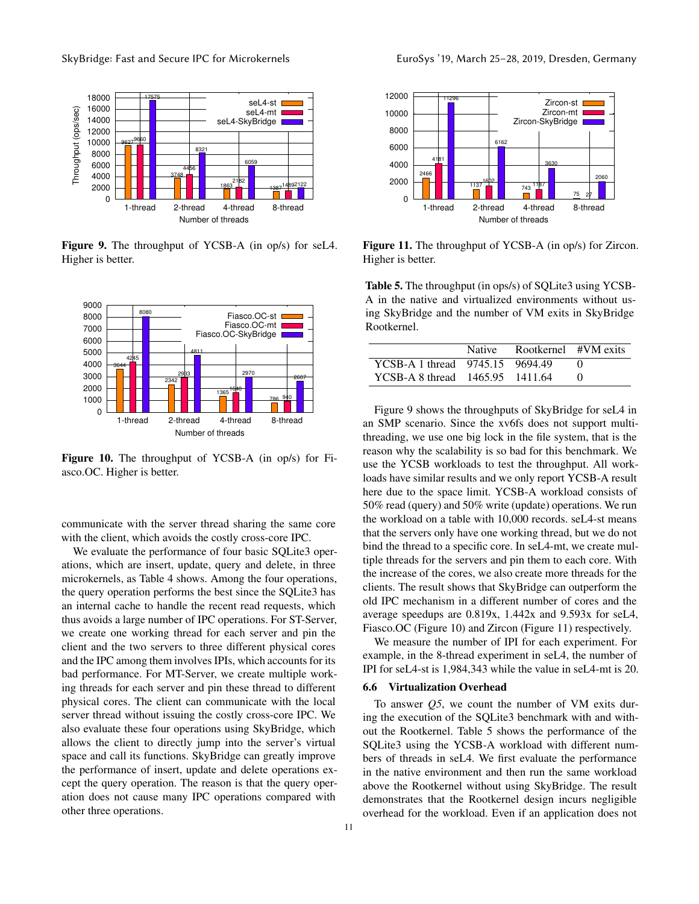<span id="page-10-0"></span>

Figure 9. The throughput of YCSB-A (in op/s) for seL4. Higher is better.

<span id="page-10-1"></span>

Figure 10. The throughput of YCSB-A (in op/s) for Fiasco.OC. Higher is better.

communicate with the server thread sharing the same core with the client, which avoids the costly cross-core IPC.

We evaluate the performance of four basic SQLite3 operations, which are insert, update, query and delete, in three microkernels, as Table [4](#page-9-2) shows. Among the four operations, the query operation performs the best since the SQLite3 has an internal cache to handle the recent read requests, which thus avoids a large number of IPC operations. For ST-Server, we create one working thread for each server and pin the client and the two servers to three different physical cores and the IPC among them involves IPIs, which accounts for its bad performance. For MT-Server, we create multiple working threads for each server and pin these thread to different physical cores. The client can communicate with the local server thread without issuing the costly cross-core IPC. We also evaluate these four operations using SkyBridge, which allows the client to directly jump into the server's virtual space and call its functions. SkyBridge can greatly improve the performance of insert, update and delete operations except the query operation. The reason is that the query operation does not cause many IPC operations compared with other three operations.

<span id="page-10-2"></span>

Figure 11. The throughput of YCSB-A (in op/s) for Zircon. Higher is better.

<span id="page-10-3"></span>Table 5. The throughput (in ops/s) of SQLite3 using YCSB-A in the native and virtualized environments without using SkyBridge and the number of VM exits in SkyBridge Rootkernel.

|                                 | Native | Rootkernel #VM exits |  |
|---------------------------------|--------|----------------------|--|
| YCSB-A 1 thread 9745.15 9694.49 |        |                      |  |
| YCSB-A 8 thread 1465.95 1411.64 |        |                      |  |

Figure [9](#page-10-0) shows the throughputs of SkyBridge for seL4 in an SMP scenario. Since the xv6fs does not support multithreading, we use one big lock in the file system, that is the reason why the scalability is so bad for this benchmark. We use the YCSB workloads to test the throughput. All workloads have similar results and we only report YCSB-A result here due to the space limit. YCSB-A workload consists of 50% read (query) and 50% write (update) operations. We run the workload on a table with 10,000 records. seL4-st means that the servers only have one working thread, but we do not bind the thread to a specific core. In seL4-mt, we create multiple threads for the servers and pin them to each core. With the increase of the cores, we also create more threads for the clients. The result shows that SkyBridge can outperform the old IPC mechanism in a different number of cores and the average speedups are 0.819x, 1.442x and 9.593x for seL4, Fiasco.OC (Figure [10\)](#page-10-1) and Zircon (Figure [11\)](#page-10-2) respectively.

We measure the number of IPI for each experiment. For example, in the 8-thread experiment in seL4, the number of IPI for seL4-st is 1,984,343 while the value in seL4-mt is 20.

#### 6.6 Virtualization Overhead

To answer *Q5*, we count the number of VM exits during the execution of the SQLite3 benchmark with and without the Rootkernel. Table [5](#page-10-3) shows the performance of the SQLite3 using the YCSB-A workload with different numbers of threads in seL4. We first evaluate the performance in the native environment and then run the same workload above the Rootkernel without using SkyBridge. The result demonstrates that the Rootkernel design incurs negligible overhead for the workload. Even if an application does not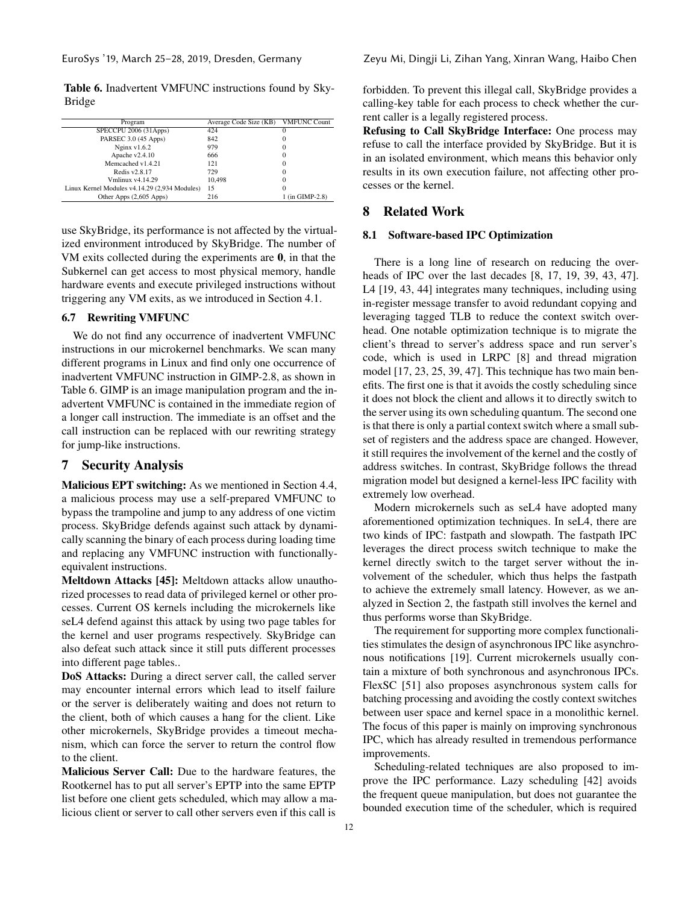<span id="page-11-0"></span>Table 6. Inadvertent VMFUNC instructions found by Sky-Bridge

| Program                                       | Average Code Size (KB) | <b>VMFUNC Count</b> |
|-----------------------------------------------|------------------------|---------------------|
| SPECCPU 2006 (31Apps)                         | 424                    |                     |
| PARSEC 3.0 (45 Apps)                          | 842                    | 0                   |
| Nginx $v1.6.2$                                | 979                    | 0                   |
| Apache v2.4.10                                | 666                    |                     |
| Memcached v1.4.21                             | 121                    | 0                   |
| Redis v2.8.17                                 | 729                    |                     |
| Vmlinux v4.14.29                              | 10.498                 | 0                   |
| Linux Kernel Modules v4.14.29 (2,934 Modules) | 15                     |                     |
| Other Apps (2,605 Apps)                       | 216                    | 1 (in GIMP-2.8)     |

use SkyBridge, its performance is not affected by the virtualized environment introduced by SkyBridge. The number of VM exits collected during the experiments are 0, in that the Subkernel can get access to most physical memory, handle hardware events and execute privileged instructions without triggering any VM exits, as we introduced in Section [4.1.](#page-5-0)

# 6.7 Rewriting VMFUNC

We do not find any occurrence of inadvertent VMFUNC instructions in our microkernel benchmarks. We scan many different programs in Linux and find only one occurrence of inadvertent VMFUNC instruction in GIMP-2.8, as shown in Table [6.](#page-11-0) GIMP is an image manipulation program and the inadvertent VMFUNC is contained in the immediate region of a longer call instruction. The immediate is an offset and the call instruction can be replaced with our rewriting strategy for jump-like instructions.

# 7 Security Analysis

Malicious EPT switching: As we mentioned in Section [4.4,](#page-6-1) a malicious process may use a self-prepared VMFUNC to bypass the trampoline and jump to any address of one victim process. SkyBridge defends against such attack by dynamically scanning the binary of each process during loading time and replacing any VMFUNC instruction with functionallyequivalent instructions.

Meltdown Attacks [\[45\]](#page-14-10): Meltdown attacks allow unauthorized processes to read data of privileged kernel or other processes. Current OS kernels including the microkernels like seL4 defend against this attack by using two page tables for the kernel and user programs respectively. SkyBridge can also defeat such attack since it still puts different processes into different page tables..

DoS Attacks: During a direct server call, the called server may encounter internal errors which lead to itself failure or the server is deliberately waiting and does not return to the client, both of which causes a hang for the client. Like other microkernels, SkyBridge provides a timeout mechanism, which can force the server to return the control flow to the client.

Malicious Server Call: Due to the hardware features, the Rootkernel has to put all server's EPTP into the same EPTP list before one client gets scheduled, which may allow a malicious client or server to call other servers even if this call is

forbidden. To prevent this illegal call, SkyBridge provides a calling-key table for each process to check whether the current caller is a legally registered process.

Refusing to Call SkyBridge Interface: One process may refuse to call the interface provided by SkyBridge. But it is in an isolated environment, which means this behavior only results in its own execution failure, not affecting other processes or the kernel.

# 8 Related Work

# 8.1 Software-based IPC Optimization

There is a long line of research on reducing the overheads of IPC over the last decades [\[8](#page-13-5), [17](#page-13-17), [19,](#page-13-18) [39,](#page-14-19) [43,](#page-14-3) [47\]](#page-14-20). L4 [\[19](#page-13-18), [43](#page-14-3), [44\]](#page-14-21) integrates many techniques, including using in-register message transfer to avoid redundant copying and leveraging tagged TLB to reduce the context switch overhead. One notable optimization technique is to migrate the client's thread to server's address space and run server's code, which is used in LRPC [\[8\]](#page-13-5) and thread migration model [\[17](#page-13-17), [23](#page-13-19), [25](#page-13-20), [39,](#page-14-19) [47\]](#page-14-20). This technique has two main benefits. The first one is that it avoids the costly scheduling since it does not block the client and allows it to directly switch to the server using its own scheduling quantum. The second one is that there is only a partial context switch where a small subset of registers and the address space are changed. However, it still requires the involvement of the kernel and the costly of address switches. In contrast, SkyBridge follows the thread migration model but designed a kernel-less IPC facility with extremely low overhead.

Modern microkernels such as seL4 have adopted many aforementioned optimization techniques. In seL4, there are two kinds of IPC: fastpath and slowpath. The fastpath IPC leverages the direct process switch technique to make the kernel directly switch to the target server without the involvement of the scheduler, which thus helps the fastpath to achieve the extremely small latency. However, as we analyzed in Section [2,](#page-1-0) the fastpath still involves the kernel and thus performs worse than SkyBridge.

The requirement for supporting more complex functionalities stimulates the design of asynchronous IPC like asynchronous notifications [\[19\]](#page-13-18). Current microkernels usually contain a mixture of both synchronous and asynchronous IPCs. FlexSC [\[51](#page-14-22)] also proposes asynchronous system calls for batching processing and avoiding the costly context switches between user space and kernel space in a monolithic kernel. The focus of this paper is mainly on improving synchronous IPC, which has already resulted in tremendous performance improvements.

Scheduling-related techniques are also proposed to improve the IPC performance. Lazy scheduling [\[42\]](#page-14-2) avoids the frequent queue manipulation, but does not guarantee the bounded execution time of the scheduler, which is required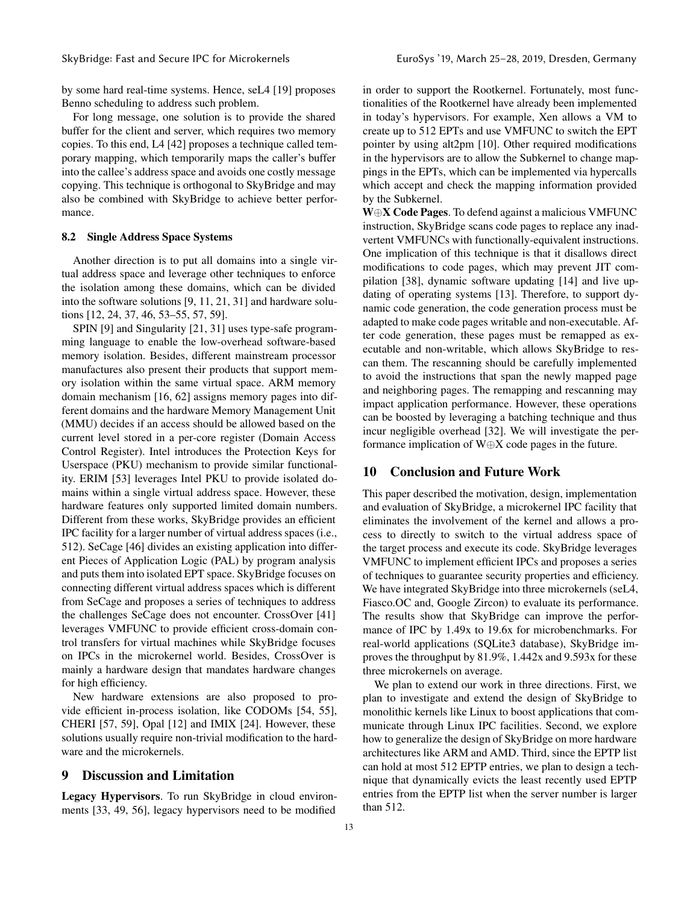by some hard real-time systems. Hence, seL4 [\[19\]](#page-13-18) proposes Benno scheduling to address such problem.

For long message, one solution is to provide the shared buffer for the client and server, which requires two memory copies. To this end, L4 [\[42\]](#page-14-2) proposes a technique called temporary mapping, which temporarily maps the caller's buffer into the callee's address space and avoids one costly message copying. This technique is orthogonal to SkyBridge and may also be combined with SkyBridge to achieve better performance.

# 8.2 Single Address Space Systems

Another direction is to put all domains into a single virtual address space and leverage other techniques to enforce the isolation among these domains, which can be divided into the software solutions [\[9,](#page-13-21) [11](#page-13-22), [21](#page-13-23), [31](#page-13-24)] and hardware solutions [\[12](#page-13-25), [24](#page-13-26), [37](#page-14-23), [46,](#page-14-13) [53](#page-14-18)[–55,](#page-14-11) [57,](#page-14-24) [59\]](#page-14-25).

SPIN [\[9](#page-13-21)] and Singularity [\[21](#page-13-23), [31](#page-13-24)] uses type-safe programming language to enable the low-overhead software-based memory isolation. Besides, different mainstream processor manufactures also present their products that support memory isolation within the same virtual space. ARM memory domain mechanism [\[16](#page-13-27), [62\]](#page-14-26) assigns memory pages into different domains and the hardware Memory Management Unit (MMU) decides if an access should be allowed based on the current level stored in a per-core register (Domain Access Control Register). Intel introduces the Protection Keys for Userspace (PKU) mechanism to provide similar functionality. ERIM [\[53](#page-14-18)] leverages Intel PKU to provide isolated domains within a single virtual address space. However, these hardware features only supported limited domain numbers. Different from these works, SkyBridge provides an efficient IPC facility for a larger number of virtual address spaces (i.e., 512). SeCage [\[46](#page-14-13)] divides an existing application into different Pieces of Application Logic (PAL) by program analysis and puts them into isolated EPT space. SkyBridge focuses on connecting different virtual address spaces which is different from SeCage and proposes a series of techniques to address the challenges SeCage does not encounter. CrossOver [\[41\]](#page-14-12) leverages VMFUNC to provide efficient cross-domain control transfers for virtual machines while SkyBridge focuses on IPCs in the microkernel world. Besides, CrossOver is mainly a hardware design that mandates hardware changes for high efficiency.

New hardware extensions are also proposed to provide efficient in-process isolation, like CODOMs [\[54](#page-14-27), [55\]](#page-14-11), CHERI [\[57](#page-14-24), [59\]](#page-14-25), Opal [\[12](#page-13-25)] and IMIX [\[24\]](#page-13-26). However, these solutions usually require non-trivial modification to the hardware and the microkernels.

# 9 Discussion and Limitation

Legacy Hypervisors. To run SkyBridge in cloud environments [\[33](#page-14-28), [49,](#page-14-29) [56\]](#page-14-30), legacy hypervisors need to be modified

in order to support the Rootkernel. Fortunately, most functionalities of the Rootkernel have already been implemented in today's hypervisors. For example, Xen allows a VM to create up to 512 EPTs and use VMFUNC to switch the EPT pointer by using alt2pm [\[10](#page-13-28)]. Other required modifications in the hypervisors are to allow the Subkernel to change mappings in the EPTs, which can be implemented via hypercalls which accept and check the mapping information provided by the Subkernel.

W⊕X Code Pages. To defend against a malicious VMFUNC instruction, SkyBridge scans code pages to replace any inadvertent VMFUNCs with functionally-equivalent instructions. One implication of this technique is that it disallows direct modifications to code pages, which may prevent JIT compilation [\[38](#page-14-31)], dynamic software updating [\[14\]](#page-13-29) and live updating of operating systems [\[13](#page-13-30)]. Therefore, to support dynamic code generation, the code generation process must be adapted to make code pages writable and non-executable. After code generation, these pages must be remapped as executable and non-writable, which allows SkyBridge to rescan them. The rescanning should be carefully implemented to avoid the instructions that span the newly mapped page and neighboring pages. The remapping and rescanning may impact application performance. However, these operations can be boosted by leveraging a batching technique and thus incur negligible overhead [\[32\]](#page-13-31). We will investigate the performance implication of W⊕X code pages in the future.

# 10 Conclusion and Future Work

This paper described the motivation, design, implementation and evaluation of SkyBridge, a microkernel IPC facility that eliminates the involvement of the kernel and allows a process to directly to switch to the virtual address space of the target process and execute its code. SkyBridge leverages VMFUNC to implement efficient IPCs and proposes a series of techniques to guarantee security properties and efficiency. We have integrated SkyBridge into three microkernels (seL4, Fiasco.OC and, Google Zircon) to evaluate its performance. The results show that SkyBridge can improve the performance of IPC by 1.49x to 19.6x for microbenchmarks. For real-world applications (SQLite3 database), SkyBridge improves the throughput by 81.9%, 1.442x and 9.593x for these three microkernels on average.

We plan to extend our work in three directions. First, we plan to investigate and extend the design of SkyBridge to monolithic kernels like Linux to boost applications that communicate through Linux IPC facilities. Second, we explore how to generalize the design of SkyBridge on more hardware architectures like ARM and AMD. Third, since the EPTP list can hold at most 512 EPTP entries, we plan to design a technique that dynamically evicts the least recently used EPTP entries from the EPTP list when the server number is larger than 512.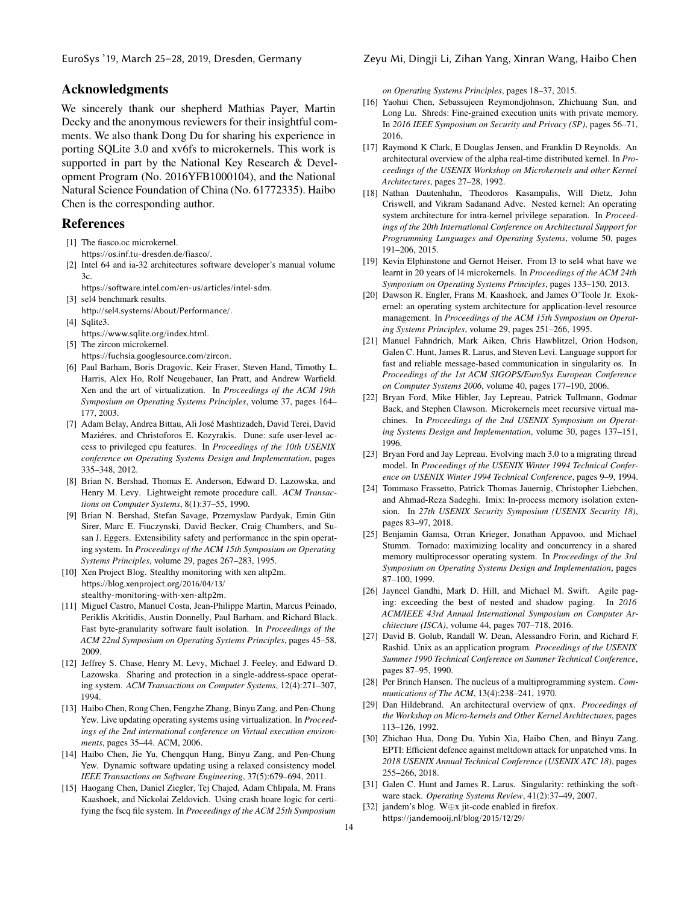# Acknowledgments

We sincerely thank our shepherd Mathias Payer, Martin Decky and the anonymous reviewers for their insightful comments. We also thank Dong Du for sharing his experience in porting SQLite 3.0 and xv6fs to microkernels. This work is supported in part by the National Key Research & Development Program (No. 2016YFB1000104), and the National Natural Science Foundation of China (No. 61772335). Haibo Chen is the corresponding author.

# References

- <span id="page-13-6"></span>[1] The fiasco.oc microkernel. https://os.inf.tu-dresden.de/fiasco/.
- <span id="page-13-9"></span>[2] Intel 64 and ia-32 architectures software developer's manual volume 3c.

<span id="page-13-8"></span>https://software.intel.com/en-us/articles/intel-sdm. [3] sel4 benchmark results.

- http://sel4.systems/About/Performance/.
- <span id="page-13-15"></span>[4] Sqlite3.

https://www.sqlite.org/index.html.

- <span id="page-13-7"></span>[5] The zircon microkernel. https://fuchsia.googlesource.com/zircon.
- <span id="page-13-11"></span>[6] Paul Barham, Boris Dragovic, Keir Fraser, Steven Hand, Timothy L. Harris, Alex Ho, Rolf Neugebauer, Ian Pratt, and Andrew Warfield. Xen and the art of virtualization. In *Proceedings of the ACM 19th Symposium on Operating Systems Principles*, volume 37, pages 164– 177, 2003.
- <span id="page-13-12"></span>[7] Adam Belay, Andrea Bittau, Ali José Mashtizadeh, David Terei, David Maziéres, and Christoforos E. Kozyrakis. Dune: safe user-level access to privileged cpu features. In *Proceedings of the 10th USENIX conference on Operating Systems Design and Implementation*, pages 335–348, 2012.
- <span id="page-13-5"></span>[8] Brian N. Bershad, Thomas E. Anderson, Edward D. Lazowska, and Henry M. Levy. Lightweight remote procedure call. *ACM Transactions on Computer Systems*, 8(1):37–55, 1990.
- <span id="page-13-21"></span>[9] Brian N. Bershad, Stefan Savage, Przemyslaw Pardyak, Emin Gün Sirer, Marc E. Fiuczynski, David Becker, Craig Chambers, and Susan J. Eggers. Extensibility safety and performance in the spin operating system. In *Proceedings of the ACM 15th Symposium on Operating Systems Principles*, volume 29, pages 267–283, 1995.
- <span id="page-13-28"></span>[10] Xen Project Blog. Stealthy monitoring with xen altp2m. https://blog.xenproject.org/2016/04/13/ [stealthy-monitoring-with-xen-altp2m](https://blog.xenproject.org/2016/04/13/stealthy-monitoring-with-xen-altp2m).
- <span id="page-13-22"></span>[11] Miguel Castro, Manuel Costa, Jean-Philippe Martin, Marcus Peinado, Periklis Akritidis, Austin Donnelly, Paul Barham, and Richard Black. Fast byte-granularity software fault isolation. In *Proceedings of the ACM 22nd Symposium on Operating Systems Principles*, pages 45–58, 2009.
- <span id="page-13-25"></span>[12] Jeffrey S. Chase, Henry M. Levy, Michael J. Feeley, and Edward D. Lazowska. Sharing and protection in a single-address-space operating system. *ACM Transactions on Computer Systems*, 12(4):271–307, 1994.
- <span id="page-13-30"></span>[13] Haibo Chen, Rong Chen, Fengzhe Zhang, Binyu Zang, and Pen-Chung Yew. Live updating operating systems using virtualization. In *Proceedings of the 2nd international conference on Virtual execution environments*, pages 35–44. ACM, 2006.
- <span id="page-13-29"></span>[14] Haibo Chen, Jie Yu, Chengqun Hang, Binyu Zang, and Pen-Chung Yew. Dynamic software updating using a relaxed consistency model. *IEEE Transactions on Software Engineering*, 37(5):679–694, 2011.
- <span id="page-13-16"></span>[15] Haogang Chen, Daniel Ziegler, Tej Chajed, Adam Chlipala, M. Frans Kaashoek, and Nickolai Zeldovich. Using crash hoare logic for certifying the fscq file system. In *Proceedings of the ACM 25th Symposium*

#### EuroSys '19, March 25–28, 2019, Dresden, Germany Zeyu Mi, Dingji Li, Zihan Yang, Xinran Wang, Haibo Chen

*on Operating Systems Principles*, pages 18–37, 2015.

- <span id="page-13-27"></span>[16] Yaohui Chen, Sebassujeen Reymondjohnson, Zhichuang Sun, and Long Lu. Shreds: Fine-grained execution units with private memory. In *2016 IEEE Symposium on Security and Privacy (SP)*, pages 56–71, 2016.
- <span id="page-13-17"></span>[17] Raymond K Clark, E Douglas Jensen, and Franklin D Reynolds. An architectural overview of the alpha real-time distributed kernel. In *Proceedings of the USENIX Workshop on Microkernels and other Kernel Architectures*, pages 27–28, 1992.
- <span id="page-13-14"></span>[18] Nathan Dautenhahn, Theodoros Kasampalis, Will Dietz, John Criswell, and Vikram Sadanand Adve. Nested kernel: An operating system architecture for intra-kernel privilege separation. In *Proceedings of the 20th International Conference on Architectural Support for Programming Languages and Operating Systems*, volume 50, pages 191–206, 2015.
- <span id="page-13-18"></span>[19] Kevin Elphinstone and Gernot Heiser. From 13 to sel4 what have we learnt in 20 years of l4 microkernels. In *Proceedings of the ACM 24th Symposium on Operating Systems Principles*, pages 133–150, 2013.
- <span id="page-13-3"></span>[20] Dawson R. Engler, Frans M. Kaashoek, and James O'Toole Jr. Exokernel: an operating system architecture for application-level resource management. In *Proceedings of the ACM 15th Symposium on Operating Systems Principles*, volume 29, pages 251–266, 1995.
- <span id="page-13-23"></span>[21] Manuel Fahndrich, Mark Aiken, Chris Hawblitzel, Orion Hodson, Galen C. Hunt, James R. Larus, and Steven Levi. Language support for fast and reliable message-based communication in singularity os. In *Proceedings of the 1st ACM SIGOPS/EuroSys European Conference on Computer Systems 2006*, volume 40, pages 177–190, 2006.
- <span id="page-13-0"></span>[22] Bryan Ford, Mike Hibler, Jay Lepreau, Patrick Tullmann, Godmar Back, and Stephen Clawson. Microkernels meet recursive virtual machines. In *Proceedings of the 2nd USENIX Symposium on Operating Systems Design and Implementation*, volume 30, pages 137–151, 1996.
- <span id="page-13-19"></span>[23] Bryan Ford and Jay Lepreau. Evolving mach 3.0 to a migrating thread model. In *Proceedings of the USENIX Winter 1994 Technical Conference on USENIX Winter 1994 Technical Conference*, pages 9–9, 1994.
- <span id="page-13-26"></span>[24] Tommaso Frassetto, Patrick Thomas Jauernig, Christopher Liebchen, and Ahmad-Reza Sadeghi. Imix: In-process memory isolation extension. In *27th USENIX Security Symposium (USENIX Security 18)*, pages 83–97, 2018.
- <span id="page-13-20"></span>[25] Benjamin Gamsa, Orran Krieger, Jonathan Appavoo, and Michael Stumm. Tornado: maximizing locality and concurrency in a shared memory multiprocessor operating system. In *Proceedings of the 3rd Symposium on Operating Systems Design and Implementation*, pages 87–100, 1999.
- <span id="page-13-13"></span>[26] Jayneel Gandhi, Mark D. Hill, and Michael M. Swift. Agile paging: exceeding the best of nested and shadow paging. In *2016 ACM/IEEE 43rd Annual International Symposium on Computer Architecture (ISCA)*, volume 44, pages 707–718, 2016.
- <span id="page-13-4"></span>[27] David B. Golub, Randall W. Dean, Alessandro Forin, and Richard F. Rashid. Unix as an application program. *Proceedings of the USENIX Summer 1990 Technical Conference on Summer Technical Conference*, pages 87–95, 1990.
- <span id="page-13-1"></span>[28] Per Brinch Hansen. The nucleus of a multiprogramming system. *Communications of The ACM*, 13(4):238–241, 1970.
- <span id="page-13-2"></span>[29] Dan Hildebrand. An architectural overview of qnx. *Proceedings of the Workshop on Micro-kernels and Other Kernel Architectures*, pages 113–126, 1992.
- <span id="page-13-10"></span>[30] Zhichao Hua, Dong Du, Yubin Xia, Haibo Chen, and Binyu Zang. EPTI: Efficient defence against meltdown attack for unpatched vms. In *2018 USENIX Annual Technical Conference (USENIX ATC 18)*, pages 255–266, 2018.
- <span id="page-13-24"></span>[31] Galen C. Hunt and James R. Larus. Singularity: rethinking the software stack. *Operating Systems Review*, 41(2):37–49, 2007.
- <span id="page-13-31"></span>[32] jandem's blog. W⊕x jit-code enabled in firefox. https://jandemooij.nl/blog/2015/12/29/